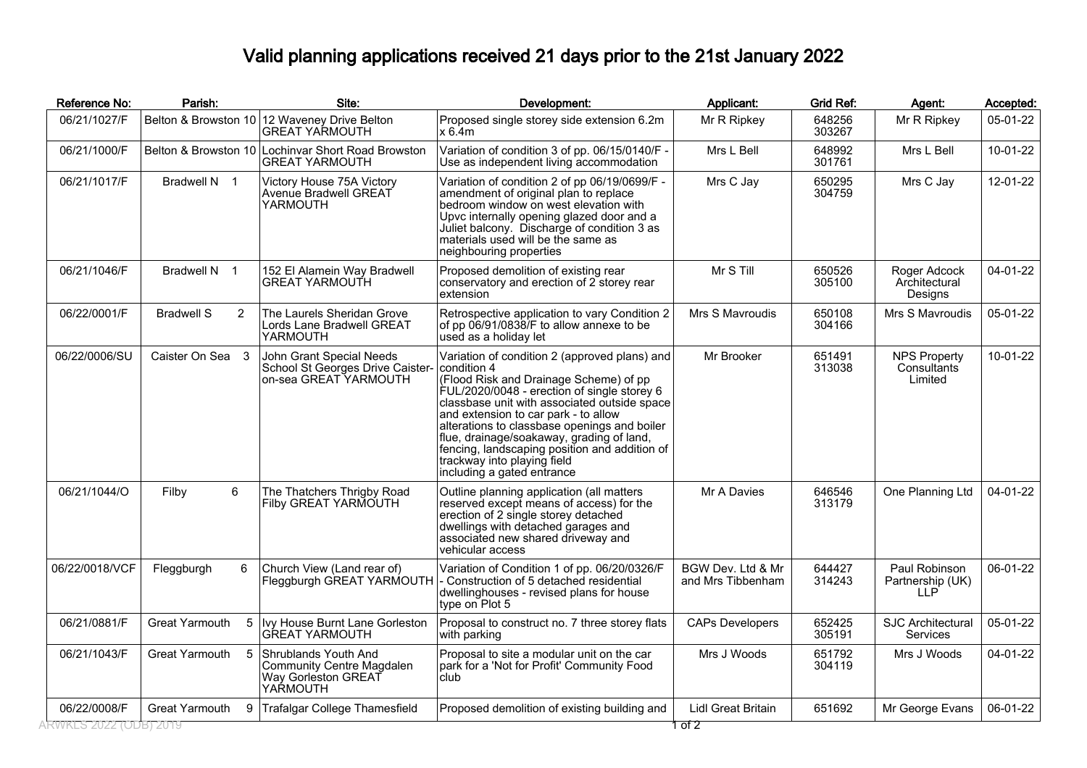## Valid planning applications received 21 days prior to the 21st January 2022

| Reference No:         | Parish:                             | Site:                                                                                 | Development:                                                                                                                                                                                                                                                                                                                                                                                                                                             | Applicant:                             | Grid Ref:        | Agent:                                        | Accepted: |
|-----------------------|-------------------------------------|---------------------------------------------------------------------------------------|----------------------------------------------------------------------------------------------------------------------------------------------------------------------------------------------------------------------------------------------------------------------------------------------------------------------------------------------------------------------------------------------------------------------------------------------------------|----------------------------------------|------------------|-----------------------------------------------|-----------|
| 06/21/1027/F          |                                     | Belton & Browston 10 12 Waveney Drive Belton<br><b>GREAT YARMOUTH</b>                 | Proposed single storey side extension 6.2m<br>$\times$ 6.4m                                                                                                                                                                                                                                                                                                                                                                                              | Mr R Ripkey                            | 648256<br>303267 | Mr R Ripkey                                   | 05-01-22  |
| 06/21/1000/F          |                                     | Belton & Browston 10 Lochinvar Short Road Browston<br><b>GREAT YARMOUTH</b>           | Variation of condition 3 of pp. 06/15/0140/F -<br>Use as independent living accommodation                                                                                                                                                                                                                                                                                                                                                                | Mrs L Bell                             | 648992<br>301761 | Mrs L Bell                                    | 10-01-22  |
| 06/21/1017/F          | Bradwell N 1                        | Victory House 75A Victory<br>Avenue Bradwell GREAT<br>YARMOUTH                        | Variation of condition 2 of pp 06/19/0699/F -<br>amendment of original plan to replace<br>bedroom window on west elevation with<br>Upvc internally opening glazed door and a<br>Juliet balcony. Discharge of condition 3 as<br>materials used will be the same as<br>neighbouring properties                                                                                                                                                             | Mrs C Jay                              | 650295<br>304759 | Mrs C Jay                                     | 12-01-22  |
| 06/21/1046/F          | Bradwell N 1                        | 152 El Alamein Way Bradwell<br><b>GREAT YARMOUTH</b>                                  | Proposed demolition of existing rear<br>conservatory and erection of 2 storey rear<br>extension                                                                                                                                                                                                                                                                                                                                                          | Mr S Till                              | 650526<br>305100 | Roger Adcock<br>Architectural<br>Designs      | 04-01-22  |
| 06/22/0001/F          | <b>Bradwell S</b><br>$\overline{2}$ | The Laurels Sheridan Grove<br>Lords Lane Bradwell GREAT<br>YARMOUTH                   | Retrospective application to vary Condition 2<br>of pp 06/91/0838/F to allow annexe to be<br>used as a holiday let                                                                                                                                                                                                                                                                                                                                       | Mrs S Mavroudis                        | 650108<br>304166 | Mrs S Mavroudis                               | 05-01-22  |
| 06/22/0006/SU         | Caister On Sea 3                    | John Grant Special Needs<br>School St Georges Drive Caister-<br>on-sea GREAT YARMOUTH | Variation of condition 2 (approved plans) and<br>condition 4<br>(Flood Risk and Drainage Scheme) of pp<br>FUL/2020/0048 - erection of single storey 6<br>classbase unit with associated outside space<br>and extension to car park - to allow<br>alterations to classbase openings and boiler<br>flue, drainage/soakaway, grading of land,<br>fencing, landscaping position and addition of<br>trackway into playing field<br>including a gated entrance | Mr Brooker                             | 651491<br>313038 | <b>NPS Property</b><br>Consultants<br>Limited | 10-01-22  |
| 06/21/1044/O          | 6<br>Filby                          | The Thatchers Thrigby Road<br>Filby GREAT YARMOUTH                                    | Outline planning application (all matters<br>reserved except means of access) for the<br>erection of 2 single storey detached<br>dwellings with detached garages and<br>associated new shared driveway and<br>vehicular access                                                                                                                                                                                                                           | Mr A Davies                            | 646546<br>313179 | One Planning Ltd                              | 04-01-22  |
| 06/22/0018/VCF        | 6<br>Fleggburgh                     | Church View (Land rear of)<br>Fleggburgh GREAT YARMOUTH                               | Variation of Condition 1 of pp. 06/20/0326/F<br>- Construction of 5 detached residential<br>dwellinghouses - revised plans for house<br>type on Plot 5                                                                                                                                                                                                                                                                                                   | BGW Dev. Ltd & Mr<br>and Mrs Tibbenham | 644427<br>314243 | Paul Robinson<br>Partnership (UK)<br>11P      | 06-01-22  |
| 06/21/0881/F          | <b>Great Yarmouth</b>               | 5 I Ivy House Burnt Lane Gorleston<br><b>GREAT YARMOUTH</b>                           | Proposal to construct no. 7 three storey flats<br>with parking                                                                                                                                                                                                                                                                                                                                                                                           | <b>CAPs Developers</b>                 | 652425<br>305191 | SJC Architectural<br>Services                 | 05-01-22  |
| 06/21/1043/F          | Great Yarmouth<br>5.                | Shrublands Youth And<br>Community Centre Magdalen<br>Way Gorleston GREAT<br>YAŔMOUTH  | Proposal to site a modular unit on the car<br>park for a 'Not for Profit' Community Food<br>club                                                                                                                                                                                                                                                                                                                                                         | Mrs J Woods                            | 651792<br>304119 | Mrs J Woods                                   | 04-01-22  |
| 06/22/0008/F          | Great Yarmouth                      | 9 Trafalgar College Thamesfield                                                       | Proposed demolition of existing building and                                                                                                                                                                                                                                                                                                                                                                                                             | <b>Lidl Great Britain</b>              | 651692           | Mr George Evans                               | 06-01-22  |
| RWKES 2022 (ODB) 2019 |                                     |                                                                                       |                                                                                                                                                                                                                                                                                                                                                                                                                                                          | 1 of 2                                 |                  |                                               |           |